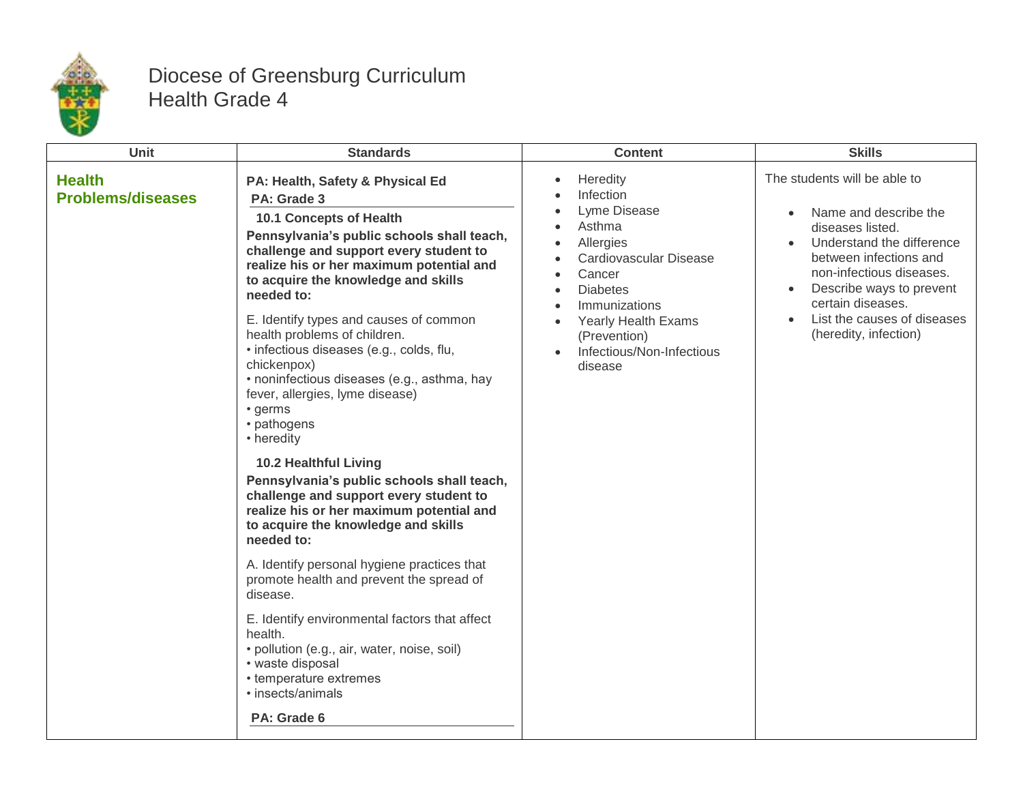

## Diocese of Greensburg Curriculum Health Grade 4

| Unit                                      | <b>Standards</b>                                                                                                                                                                                                                                                                                                                                                                                                                                                                                                                                                                                                                                                                                                                                                                                                                                                                                                                                                                                                                                                | <b>Content</b>                                                                                                                                                                                                                          | <b>Skills</b>                                                                                                                                                                                                                                                         |
|-------------------------------------------|-----------------------------------------------------------------------------------------------------------------------------------------------------------------------------------------------------------------------------------------------------------------------------------------------------------------------------------------------------------------------------------------------------------------------------------------------------------------------------------------------------------------------------------------------------------------------------------------------------------------------------------------------------------------------------------------------------------------------------------------------------------------------------------------------------------------------------------------------------------------------------------------------------------------------------------------------------------------------------------------------------------------------------------------------------------------|-----------------------------------------------------------------------------------------------------------------------------------------------------------------------------------------------------------------------------------------|-----------------------------------------------------------------------------------------------------------------------------------------------------------------------------------------------------------------------------------------------------------------------|
| <b>Health</b><br><b>Problems/diseases</b> | PA: Health, Safety & Physical Ed<br>PA: Grade 3<br>10.1 Concepts of Health<br>Pennsylvania's public schools shall teach,<br>challenge and support every student to<br>realize his or her maximum potential and<br>to acquire the knowledge and skills<br>needed to:<br>E. Identify types and causes of common<br>health problems of children.<br>· infectious diseases (e.g., colds, flu,<br>chickenpox)<br>· noninfectious diseases (e.g., asthma, hay<br>fever, allergies, lyme disease)<br>• germs<br>• pathogens<br>• heredity<br><b>10.2 Healthful Living</b><br>Pennsylvania's public schools shall teach,<br>challenge and support every student to<br>realize his or her maximum potential and<br>to acquire the knowledge and skills<br>needed to:<br>A. Identify personal hygiene practices that<br>promote health and prevent the spread of<br>disease.<br>E. Identify environmental factors that affect<br>health.<br>· pollution (e.g., air, water, noise, soil)<br>• waste disposal<br>• temperature extremes<br>· insects/animals<br>PA: Grade 6 | Heredity<br>Infection<br>Lyme Disease<br>Asthma<br>Allergies<br>Cardiovascular Disease<br>Cancer<br><b>Diabetes</b><br>$\bullet$<br>Immunizations<br><b>Yearly Health Exams</b><br>(Prevention)<br>Infectious/Non-Infectious<br>disease | The students will be able to<br>Name and describe the<br>diseases listed.<br>Understand the difference<br>between infections and<br>non-infectious diseases.<br>Describe ways to prevent<br>certain diseases.<br>List the causes of diseases<br>(heredity, infection) |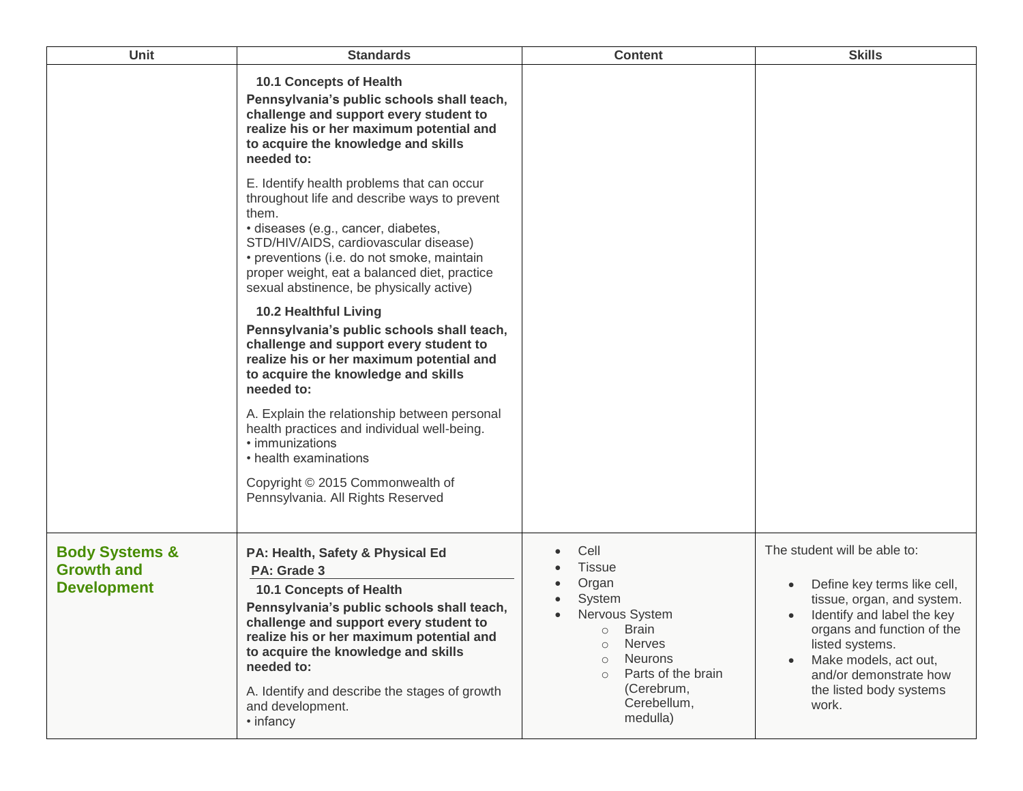| Unit                                                                 | <b>Standards</b>                                                                                                                                                                                                                                                                                                                                                                                                                                                                                                                                                                                                                                                                                                                                                    | <b>Content</b>                                                                                                                                                                                                            | <b>Skills</b>                                                                                                                                                                                                                                                   |
|----------------------------------------------------------------------|---------------------------------------------------------------------------------------------------------------------------------------------------------------------------------------------------------------------------------------------------------------------------------------------------------------------------------------------------------------------------------------------------------------------------------------------------------------------------------------------------------------------------------------------------------------------------------------------------------------------------------------------------------------------------------------------------------------------------------------------------------------------|---------------------------------------------------------------------------------------------------------------------------------------------------------------------------------------------------------------------------|-----------------------------------------------------------------------------------------------------------------------------------------------------------------------------------------------------------------------------------------------------------------|
|                                                                      | 10.1 Concepts of Health<br>Pennsylvania's public schools shall teach,<br>challenge and support every student to<br>realize his or her maximum potential and<br>to acquire the knowledge and skills<br>needed to:                                                                                                                                                                                                                                                                                                                                                                                                                                                                                                                                                    |                                                                                                                                                                                                                           |                                                                                                                                                                                                                                                                 |
|                                                                      | E. Identify health problems that can occur<br>throughout life and describe ways to prevent<br>them.<br>· diseases (e.g., cancer, diabetes,<br>STD/HIV/AIDS, cardiovascular disease)<br>• preventions (i.e. do not smoke, maintain<br>proper weight, eat a balanced diet, practice<br>sexual abstinence, be physically active)<br>10.2 Healthful Living<br>Pennsylvania's public schools shall teach,<br>challenge and support every student to<br>realize his or her maximum potential and<br>to acquire the knowledge and skills<br>needed to:<br>A. Explain the relationship between personal<br>health practices and individual well-being.<br>• immunizations<br>• health examinations<br>Copyright © 2015 Commonwealth of<br>Pennsylvania. All Rights Reserved |                                                                                                                                                                                                                           |                                                                                                                                                                                                                                                                 |
| <b>Body Systems &amp;</b><br><b>Growth and</b><br><b>Development</b> | PA: Health, Safety & Physical Ed<br>PA: Grade 3<br><b>10.1 Concepts of Health</b><br>Pennsylvania's public schools shall teach,<br>challenge and support every student to<br>realize his or her maximum potential and<br>to acquire the knowledge and skills<br>needed to:<br>A. Identify and describe the stages of growth<br>and development.<br>• infancy                                                                                                                                                                                                                                                                                                                                                                                                        | Cell<br><b>Tissue</b><br>Organ<br>System<br>Nervous System<br><b>Brain</b><br>$\circ$<br><b>Nerves</b><br>$\circ$<br><b>Neurons</b><br>$\Omega$<br>Parts of the brain<br>$\circ$<br>(Cerebrum,<br>Cerebellum,<br>medulla) | The student will be able to:<br>Define key terms like cell,<br>tissue, organ, and system.<br>Identify and label the key<br>organs and function of the<br>listed systems.<br>Make models, act out,<br>and/or demonstrate how<br>the listed body systems<br>work. |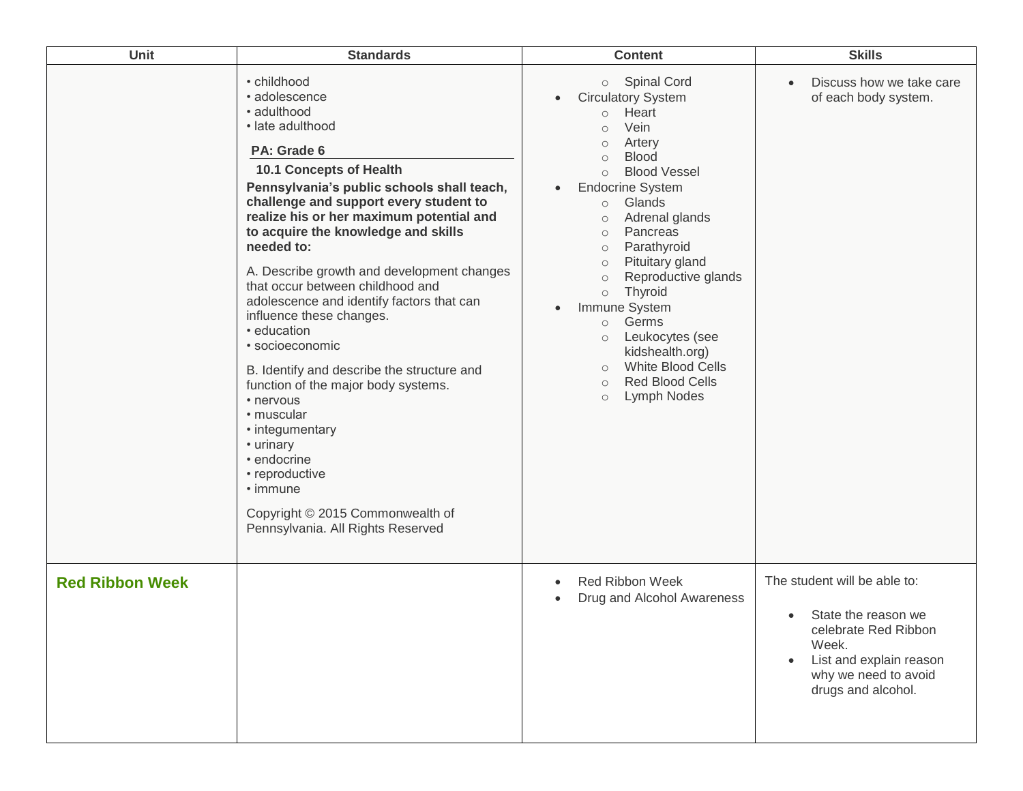| Unit                   | <b>Standards</b>                                                                                                                                                                                                                                                                                                                                                                                                                                                                                                                                                                                                                                                                                                                                                            | <b>Content</b>                                                                                                                                                                                                                                                                                                                                                                                                                                                                                                                                                                                                                | <b>Skills</b>                                                                                                                                                              |
|------------------------|-----------------------------------------------------------------------------------------------------------------------------------------------------------------------------------------------------------------------------------------------------------------------------------------------------------------------------------------------------------------------------------------------------------------------------------------------------------------------------------------------------------------------------------------------------------------------------------------------------------------------------------------------------------------------------------------------------------------------------------------------------------------------------|-------------------------------------------------------------------------------------------------------------------------------------------------------------------------------------------------------------------------------------------------------------------------------------------------------------------------------------------------------------------------------------------------------------------------------------------------------------------------------------------------------------------------------------------------------------------------------------------------------------------------------|----------------------------------------------------------------------------------------------------------------------------------------------------------------------------|
|                        | • childhood<br>• adolescence<br>• adulthood<br>• late adulthood<br>PA: Grade 6<br>10.1 Concepts of Health<br>Pennsylvania's public schools shall teach,<br>challenge and support every student to<br>realize his or her maximum potential and<br>to acquire the knowledge and skills<br>needed to:<br>A. Describe growth and development changes<br>that occur between childhood and<br>adolescence and identify factors that can<br>influence these changes.<br>• education<br>• socioeconomic<br>B. Identify and describe the structure and<br>function of the major body systems.<br>• nervous<br>• muscular<br>• integumentary<br>• urinary<br>• endocrine<br>• reproductive<br>$\cdot$ immune<br>Copyright © 2015 Commonwealth of<br>Pennsylvania. All Rights Reserved | <b>Spinal Cord</b><br>$\circ$<br><b>Circulatory System</b><br>$\bullet$<br>Heart<br>$\circ$<br>Vein<br>$\circ$<br>Artery<br>$\circ$<br><b>Blood</b><br>$\circ$<br><b>Blood Vessel</b><br>$\circ$<br><b>Endocrine System</b><br>Glands<br>$\circ$<br>Adrenal glands<br>$\circ$<br>Pancreas<br>$\circ$<br>Parathyroid<br>$\circ$<br>Pituitary gland<br>$\circ$<br>Reproductive glands<br>$\circ$<br>Thyroid<br>$\circ$<br>Immune System<br>$\bullet$<br>Germs<br>$\circ$<br>Leukocytes (see<br>$\circ$<br>kidshealth.org)<br><b>White Blood Cells</b><br>$\circ$<br><b>Red Blood Cells</b><br>$\circ$<br>Lymph Nodes<br>$\circ$ | Discuss how we take care<br>$\bullet$<br>of each body system.                                                                                                              |
| <b>Red Ribbon Week</b> |                                                                                                                                                                                                                                                                                                                                                                                                                                                                                                                                                                                                                                                                                                                                                                             | Red Ribbon Week<br>$\bullet$<br>Drug and Alcohol Awareness<br>٠                                                                                                                                                                                                                                                                                                                                                                                                                                                                                                                                                               | The student will be able to:<br>State the reason we<br>$\bullet$<br>celebrate Red Ribbon<br>Week.<br>List and explain reason<br>why we need to avoid<br>drugs and alcohol. |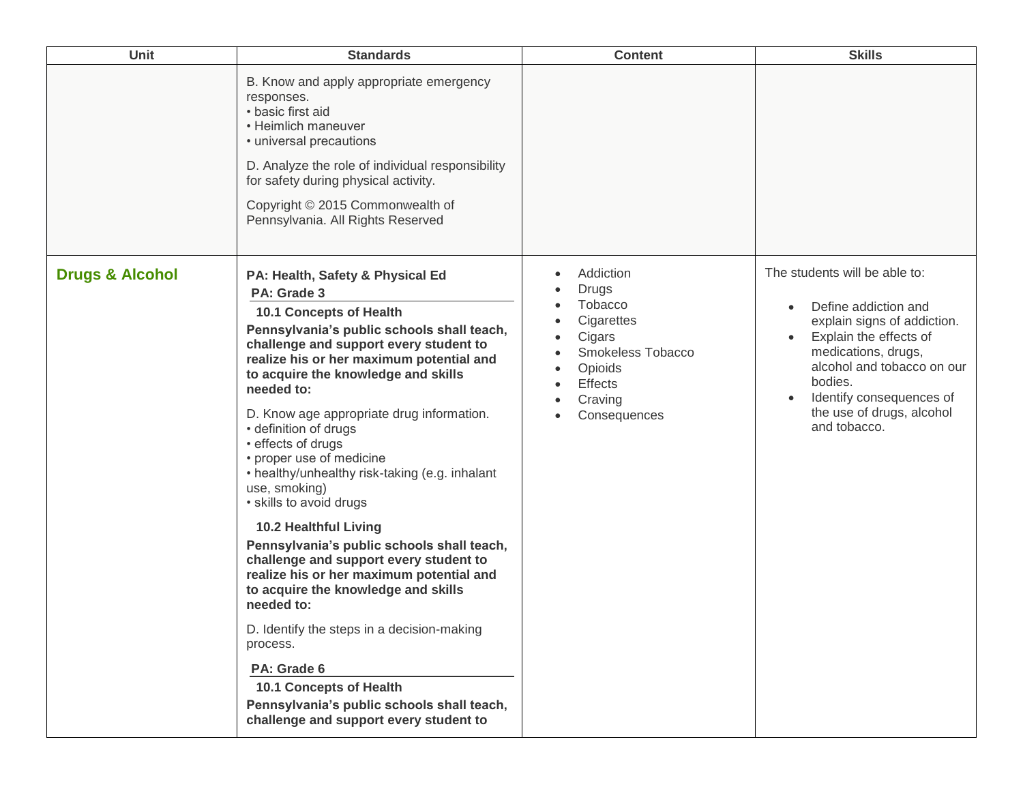| <b>Unit</b>                | <b>Standards</b>                                                                                                                                                                                                                                                                                                                                                                                                                                                                                                                                                                                                                                                                                                                                                                                                                                                                                               | <b>Content</b>                                                                                                                                                                   | <b>Skills</b>                                                                                                                                                                                                                                           |
|----------------------------|----------------------------------------------------------------------------------------------------------------------------------------------------------------------------------------------------------------------------------------------------------------------------------------------------------------------------------------------------------------------------------------------------------------------------------------------------------------------------------------------------------------------------------------------------------------------------------------------------------------------------------------------------------------------------------------------------------------------------------------------------------------------------------------------------------------------------------------------------------------------------------------------------------------|----------------------------------------------------------------------------------------------------------------------------------------------------------------------------------|---------------------------------------------------------------------------------------------------------------------------------------------------------------------------------------------------------------------------------------------------------|
|                            | B. Know and apply appropriate emergency<br>responses.<br>• basic first aid<br>• Heimlich maneuver<br>• universal precautions<br>D. Analyze the role of individual responsibility<br>for safety during physical activity.<br>Copyright © 2015 Commonwealth of<br>Pennsylvania. All Rights Reserved                                                                                                                                                                                                                                                                                                                                                                                                                                                                                                                                                                                                              |                                                                                                                                                                                  |                                                                                                                                                                                                                                                         |
| <b>Drugs &amp; Alcohol</b> | PA: Health, Safety & Physical Ed<br>PA: Grade 3<br>10.1 Concepts of Health<br>Pennsylvania's public schools shall teach,<br>challenge and support every student to<br>realize his or her maximum potential and<br>to acquire the knowledge and skills<br>needed to:<br>D. Know age appropriate drug information.<br>• definition of drugs<br>• effects of drugs<br>• proper use of medicine<br>• healthy/unhealthy risk-taking (e.g. inhalant<br>use, smoking)<br>• skills to avoid drugs<br><b>10.2 Healthful Living</b><br>Pennsylvania's public schools shall teach,<br>challenge and support every student to<br>realize his or her maximum potential and<br>to acquire the knowledge and skills<br>needed to:<br>D. Identify the steps in a decision-making<br>process.<br>PA: Grade 6<br>10.1 Concepts of Health<br>Pennsylvania's public schools shall teach,<br>challenge and support every student to | Addiction<br><b>Drugs</b><br>Tobacco<br>Cigarettes<br>$\bullet$<br>Cigars<br>$\bullet$<br>Smokeless Tobacco<br>$\bullet$<br>Opioids<br><b>Effects</b><br>Craving<br>Consequences | The students will be able to:<br>Define addiction and<br>explain signs of addiction.<br>Explain the effects of<br>medications, drugs,<br>alcohol and tobacco on our<br>bodies.<br>Identify consequences of<br>the use of drugs, alcohol<br>and tobacco. |